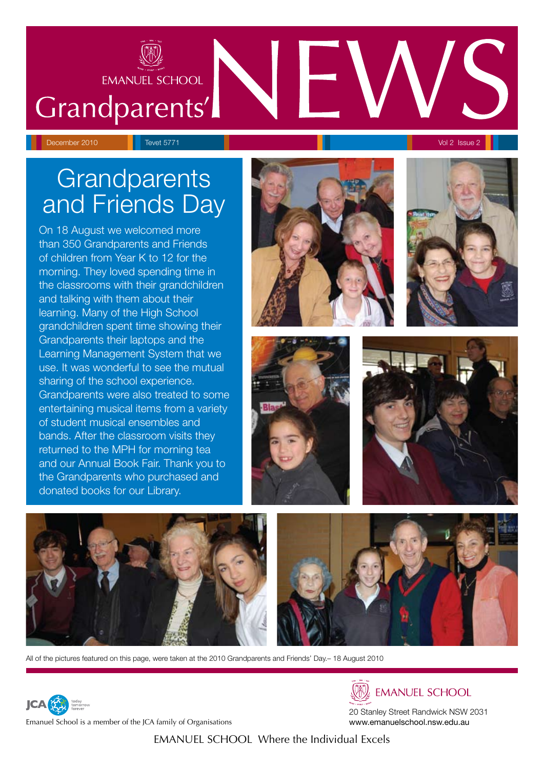

# Grandparents'

# **Grandparents** and Friends Day

On 18 August we welcomed more than 350 Grandparents and Friends of children from Year K to 12 for the morning. They loved spending time in the classrooms with their grandchildren and talking with them about their learning. Many of the High School grandchildren spent time showing their Grandparents their laptops and the Learning Management System that we use. It was wonderful to see the mutual sharing of the school experience. Grandparents were also treated to some entertaining musical items from a variety of student musical ensembles and bands. After the classroom visits they returned to the MPH for morning tea and our Annual Book Fair. Thank you to the Grandparents who purchased and donated books for our Library.











All of the pictures featured on this page, were taken at the 2010 Grandparents and Friends' Day.– 18 August 2010



**EMANUEL SCHOOL** 

20 Stanley Street Randwick NSW 2031 www.emanuelschool.nsw.edu.au

Emanuel School is a member of the JCA family of Organisations

**JCA** 

EMANUEL SCHOOL Where the Individual Excels

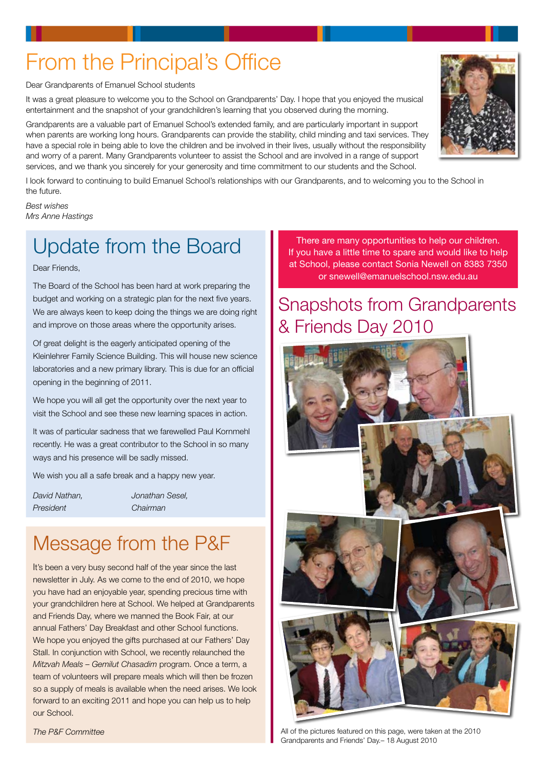# From the Principal's Office

Dear Grandparents of Emanuel School students

It was a great pleasure to welcome you to the School on Grandparents' Day. I hope that you enjoyed the musical entertainment and the snapshot of your grandchildren's learning that you observed during the morning.

Grandparents are a valuable part of Emanuel School's extended family, and are particularly important in support when parents are working long hours. Grandparents can provide the stability, child minding and taxi services. They have a special role in being able to love the children and be involved in their lives, usually without the responsibility and worry of a parent. Many Grandparents volunteer to assist the School and are involved in a range of support services, and we thank you sincerely for your generosity and time commitment to our students and the School.

I look forward to continuing to build Emanuel School's relationships with our Grandparents, and to welcoming you to the School in the future.

*Best wishes Mrs Anne Hastings*

## Update from the Board

Dear Friends,

The Board of the School has been hard at work preparing the budget and working on a strategic plan for the next five years. We are always keen to keep doing the things we are doing right and improve on those areas where the opportunity arises.

Of great delight is the eagerly anticipated opening of the Kleinlehrer Family Science Building. This will house new science laboratories and a new primary library. This is due for an official opening in the beginning of 2011.

We hope you will all get the opportunity over the next year to visit the School and see these new learning spaces in action.

It was of particular sadness that we farewelled Paul Kornmehl recently. He was a great contributor to the School in so many ways and his presence will be sadly missed.

We wish you all a safe break and a happy new year.

| David Nathan. |  |
|---------------|--|
| President     |  |

*David Nathan, Jonathan Sesel, President Chairman*

## Message from the P&F

It's been a very busy second half of the year since the last newsletter in July. As we come to the end of 2010, we hope you have had an enjoyable year, spending precious time with your grandchildren here at School. We helped at Grandparents and Friends Day, where we manned the Book Fair, at our annual Fathers' Day Breakfast and other School functions. We hope you enjoyed the gifts purchased at our Fathers' Day Stall. In conjunction with School, we recently relaunched the *Mitzvah Meals – Gemilut Chasadim* program. Once a term, a team of volunteers will prepare meals which will then be frozen so a supply of meals is available when the need arises. We look forward to an exciting 2011 and hope you can help us to help our School.

*The P&F Committee*

There are many opportunities to help our children. If you have a little time to spare and would like to help at School, please contact Sonia Newell on 8383 7350 or snewell@emanuelschool.nsw.edu.au

### Snapshots from Grandparents & Friends Day 2010





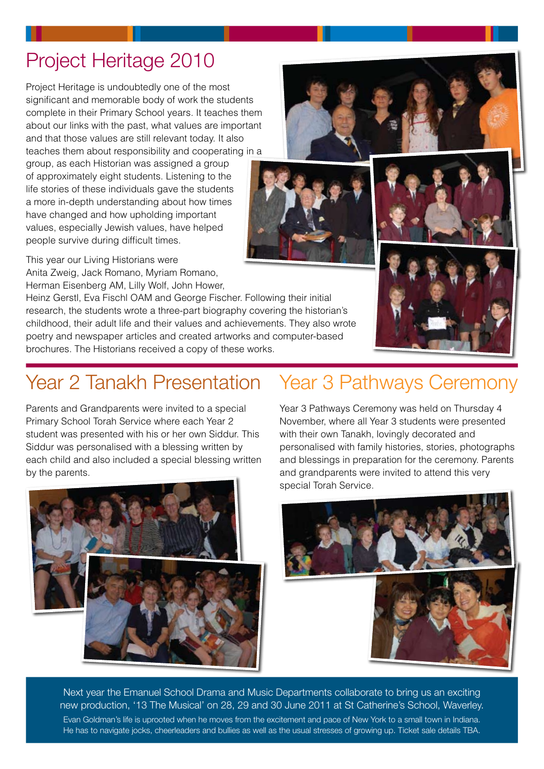complete in their Primary School years. It teaches them about our links with the past, what values are important and that those values are still relevant today. It also teaches them about responsibility and cooperating in a group, as each Historian was assigned a group of approximately eight students. Listening to the

Anita Zweig, Jack Romano, Myriam Romano, Herman Eisenberg AM, Lilly Wolf, John Hower,

Heinz Gerstl, Eva Fischl OAM and George Fischer. Following their initial research, the students wrote a three-part biography covering the historian's childhood, their adult life and their values and achievements. They also wrote poetry and newspaper articles and created artworks and computer-based brochures. The Historians received a copy of these works.

## Year 2 Tanakh Presentation Year 3 Pathways Ceremony

Parents and Grandparents were invited to a special Primary School Torah Service where each Year 2 student was presented with his or her own Siddur. This Siddur was personalised with a blessing written by each child and also included a special blessing written by the parents.

Year 3 Pathways Ceremony was held on Thursday 4 November, where all Year 3 students were presented with their own Tanakh, lovingly decorated and personalised with family histories, stories, photographs and blessings in preparation for the ceremony. Parents and grandparents were invited to attend this very special Torah Service.

Next year the Emanuel School Drama and Music Departments collaborate to bring us an exciting new production, '13 The Musical' on 28, 29 and 30 June 2011 at St Catherine's School, Waverley. Evan Goldman's life is uprooted when he moves from the excitement and pace of New York to a small town in Indiana. He has to navigate jocks, cheerleaders and bullies as well as the usual stresses of growing up. Ticket sale details TBA.

### Project Heritage 2010 Project Heritage is undoubtedly one of the most

life stories of these individuals gave the students a more in-depth understanding about how times have changed and how upholding important values, especially Jewish values, have helped people survive during difficult times. This year our Living Historians were